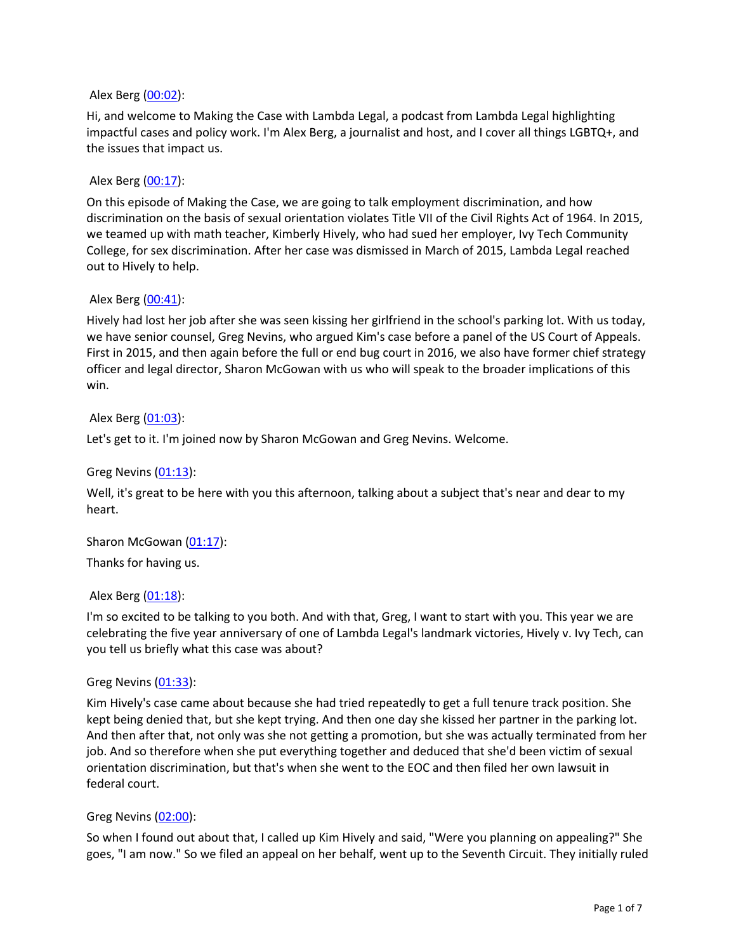### Alex Berg (00:02):

Hi, and welcome to Making the Case with Lambda Legal, a podcast from Lambda Legal highlighting impactful cases and policy work. I'm Alex Berg, a journalist and host, and I cover all things LGBTQ+, and the issues that impact us.

## Alex Berg (00:17):

On this episode of Making the Case, we are going to talk employment discrimination, and how discrimination on the basis of sexual orientation violates Title VII of the Civil Rights Act of 1964. In 2015, we teamed up with math teacher, Kimberly Hively, who had sued her employer, Ivy Tech Community College, for sex discrimination. After her case was dismissed in March of 2015, Lambda Legal reached out to Hively to help.

## Alex Berg (00:41):

Hively had lost her job after she was seen kissing her girlfriend in the school's parking lot. With us today, we have senior counsel, Greg Nevins, who argued Kim's case before a panel of the US Court of Appeals. First in 2015, and then again before the full or end bug court in 2016, we also have former chief strategy officer and legal director, Sharon McGowan with us who will speak to the broader implications of this win.

## Alex Berg (01:03):

Let's get to it. I'm joined now by Sharon McGowan and Greg Nevins. Welcome.

### Greg Nevins (01:13):

Well, it's great to be here with you this afternoon, talking about a subject that's near and dear to my heart.

Sharon McGowan (01:17):

Thanks for having us.

### Alex Berg (01:18):

I'm so excited to be talking to you both. And with that, Greg, I want to start with you. This year we are celebrating the five year anniversary of one of Lambda Legal's landmark victories, Hively v. Ivy Tech, can you tell us briefly what this case was about?

### Greg Nevins (01:33):

Kim Hively's case came about because she had tried repeatedly to get a full tenure track position. She kept being denied that, but she kept trying. And then one day she kissed her partner in the parking lot. And then after that, not only was she not getting a promotion, but she was actually terminated from her job. And so therefore when she put everything together and deduced that she'd been victim of sexual orientation discrimination, but that's when she went to the EOC and then filed her own lawsuit in federal court.

### Greg Nevins (02:00):

So when I found out about that, I called up Kim Hively and said, "Were you planning on appealing?" She goes, "I am now." So we filed an appeal on her behalf, went up to the Seventh Circuit. They initially ruled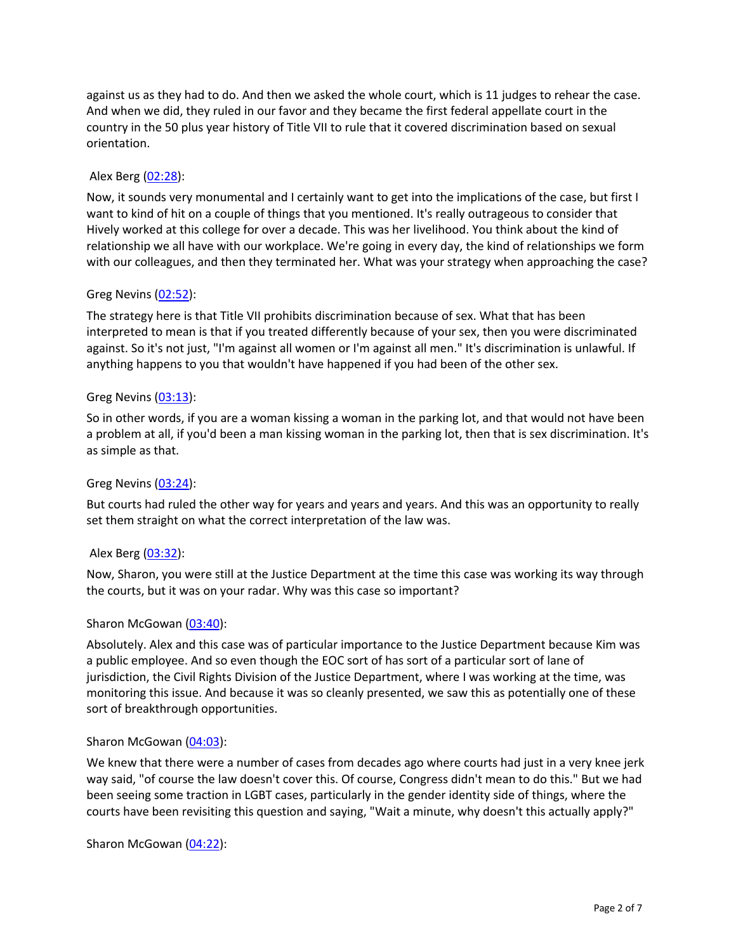against us as they had to do. And then we asked the whole court, which is 11 judges to rehear the case. And when we did, they ruled in our favor and they became the first federal appellate court in the country in the 50 plus year history of Title VII to rule that it covered discrimination based on sexual orientation.

## Alex Berg (02:28):

Now, it sounds very monumental and I certainly want to get into the implications of the case, but first I want to kind of hit on a couple of things that you mentioned. It's really outrageous to consider that Hively worked at this college for over a decade. This was her livelihood. You think about the kind of relationship we all have with our workplace. We're going in every day, the kind of relationships we form with our colleagues, and then they terminated her. What was your strategy when approaching the case?

## Greg Nevins (02:52):

The strategy here is that Title VII prohibits discrimination because of sex. What that has been interpreted to mean is that if you treated differently because of your sex, then you were discriminated against. So it's not just, "I'm against all women or I'm against all men." It's discrimination is unlawful. If anything happens to you that wouldn't have happened if you had been of the other sex.

## Greg Nevins (03:13):

So in other words, if you are a woman kissing a woman in the parking lot, and that would not have been a problem at all, if you'd been a man kissing woman in the parking lot, then that is sex discrimination. It's as simple as that.

### Greg Nevins (03:24):

But courts had ruled the other way for years and years and years. And this was an opportunity to really set them straight on what the correct interpretation of the law was.

### Alex Berg (03:32):

Now, Sharon, you were still at the Justice Department at the time this case was working its way through the courts, but it was on your radar. Why was this case so important?

### Sharon McGowan (03:40):

Absolutely. Alex and this case was of particular importance to the Justice Department because Kim was a public employee. And so even though the EOC sort of has sort of a particular sort of lane of jurisdiction, the Civil Rights Division of the Justice Department, where I was working at the time, was monitoring this issue. And because it was so cleanly presented, we saw this as potentially one of these sort of breakthrough opportunities.

### Sharon McGowan (04:03):

We knew that there were a number of cases from decades ago where courts had just in a very knee jerk way said, "of course the law doesn't cover this. Of course, Congress didn't mean to do this." But we had been seeing some traction in LGBT cases, particularly in the gender identity side of things, where the courts have been revisiting this question and saying, "Wait a minute, why doesn't this actually apply?"

Sharon McGowan (04:22):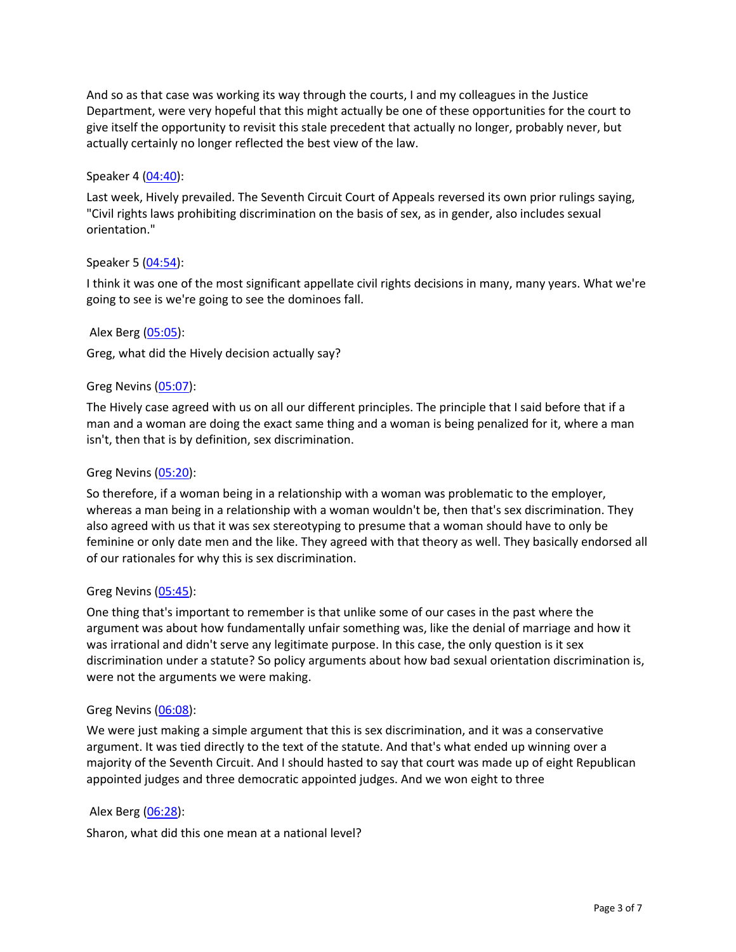And so as that case was working its way through the courts, I and my colleagues in the Justice Department, were very hopeful that this might actually be one of these opportunities for the court to give itself the opportunity to revisit this stale precedent that actually no longer, probably never, but actually certainly no longer reflected the best view of the law.

# Speaker 4 (04:40):

Last week, Hively prevailed. The Seventh Circuit Court of Appeals reversed its own prior rulings saying, "Civil rights laws prohibiting discrimination on the basis of sex, as in gender, also includes sexual orientation."

## Speaker 5 (04:54):

I think it was one of the most significant appellate civil rights decisions in many, many years. What we're going to see is we're going to see the dominoes fall.

## Alex Berg (05:05):

Greg, what did the Hively decision actually say?

## Greg Nevins (05:07):

The Hively case agreed with us on all our different principles. The principle that I said before that if a man and a woman are doing the exact same thing and a woman is being penalized for it, where a man isn't, then that is by definition, sex discrimination.

## Greg Nevins (05:20):

So therefore, if a woman being in a relationship with a woman was problematic to the employer, whereas a man being in a relationship with a woman wouldn't be, then that's sex discrimination. They also agreed with us that it was sex stereotyping to presume that a woman should have to only be feminine or only date men and the like. They agreed with that theory as well. They basically endorsed all of our rationales for why this is sex discrimination.

## Greg Nevins (05:45):

One thing that's important to remember is that unlike some of our cases in the past where the argument was about how fundamentally unfair something was, like the denial of marriage and how it was irrational and didn't serve any legitimate purpose. In this case, the only question is it sex discrimination under a statute? So policy arguments about how bad sexual orientation discrimination is, were not the arguments we were making.

## Greg Nevins (06:08):

We were just making a simple argument that this is sex discrimination, and it was a conservative argument. It was tied directly to the text of the statute. And that's what ended up winning over a majority of the Seventh Circuit. And I should hasted to say that court was made up of eight Republican appointed judges and three democratic appointed judges. And we won eight to three

## Alex Berg (06:28):

Sharon, what did this one mean at a national level?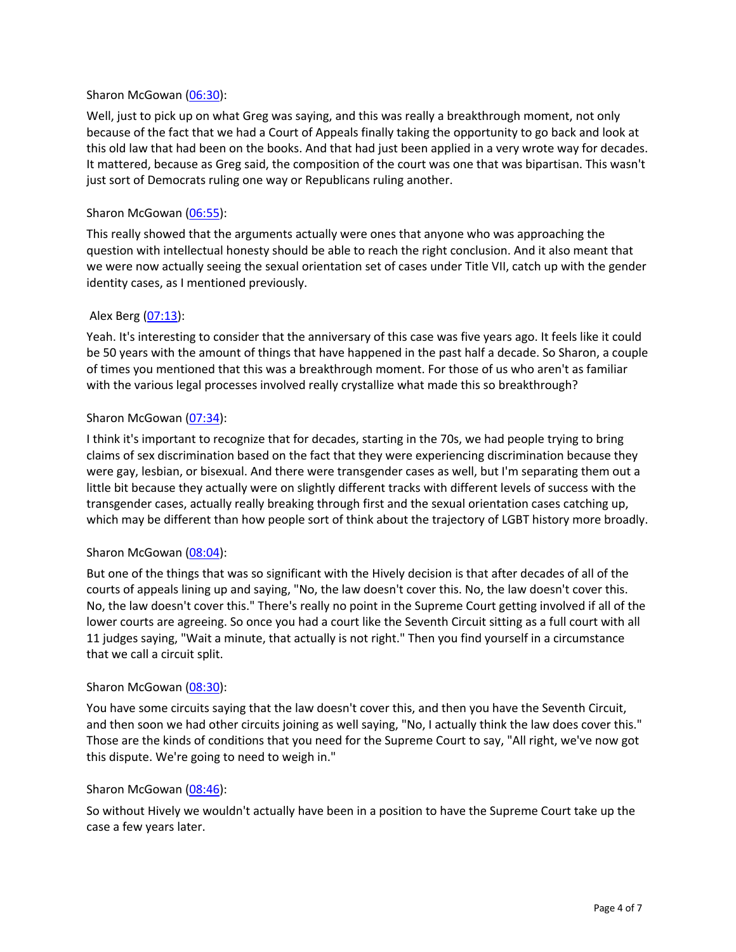## Sharon McGowan (06:30):

Well, just to pick up on what Greg was saying, and this was really a breakthrough moment, not only because of the fact that we had a Court of Appeals finally taking the opportunity to go back and look at this old law that had been on the books. And that had just been applied in a very wrote way for decades. It mattered, because as Greg said, the composition of the court was one that was bipartisan. This wasn't just sort of Democrats ruling one way or Republicans ruling another.

## Sharon McGowan (06:55):

This really showed that the arguments actually were ones that anyone who was approaching the question with intellectual honesty should be able to reach the right conclusion. And it also meant that we were now actually seeing the sexual orientation set of cases under Title VII, catch up with the gender identity cases, as I mentioned previously.

## Alex Berg (07:13):

Yeah. It's interesting to consider that the anniversary of this case was five years ago. It feels like it could be 50 years with the amount of things that have happened in the past half a decade. So Sharon, a couple of times you mentioned that this was a breakthrough moment. For those of us who aren't as familiar with the various legal processes involved really crystallize what made this so breakthrough?

## Sharon McGowan (07:34):

I think it's important to recognize that for decades, starting in the 70s, we had people trying to bring claims of sex discrimination based on the fact that they were experiencing discrimination because they were gay, lesbian, or bisexual. And there were transgender cases as well, but I'm separating them out a little bit because they actually were on slightly different tracks with different levels of success with the transgender cases, actually really breaking through first and the sexual orientation cases catching up, which may be different than how people sort of think about the trajectory of LGBT history more broadly.

### Sharon McGowan (08:04):

But one of the things that was so significant with the Hively decision is that after decades of all of the courts of appeals lining up and saying, "No, the law doesn't cover this. No, the law doesn't cover this. No, the law doesn't cover this." There's really no point in the Supreme Court getting involved if all of the lower courts are agreeing. So once you had a court like the Seventh Circuit sitting as a full court with all 11 judges saying, "Wait a minute, that actually is not right." Then you find yourself in a circumstance that we call a circuit split.

### Sharon McGowan (08:30):

You have some circuits saying that the law doesn't cover this, and then you have the Seventh Circuit, and then soon we had other circuits joining as well saying, "No, I actually think the law does cover this." Those are the kinds of conditions that you need for the Supreme Court to say, "All right, we've now got this dispute. We're going to need to weigh in."

### Sharon McGowan (08:46):

So without Hively we wouldn't actually have been in a position to have the Supreme Court take up the case a few years later.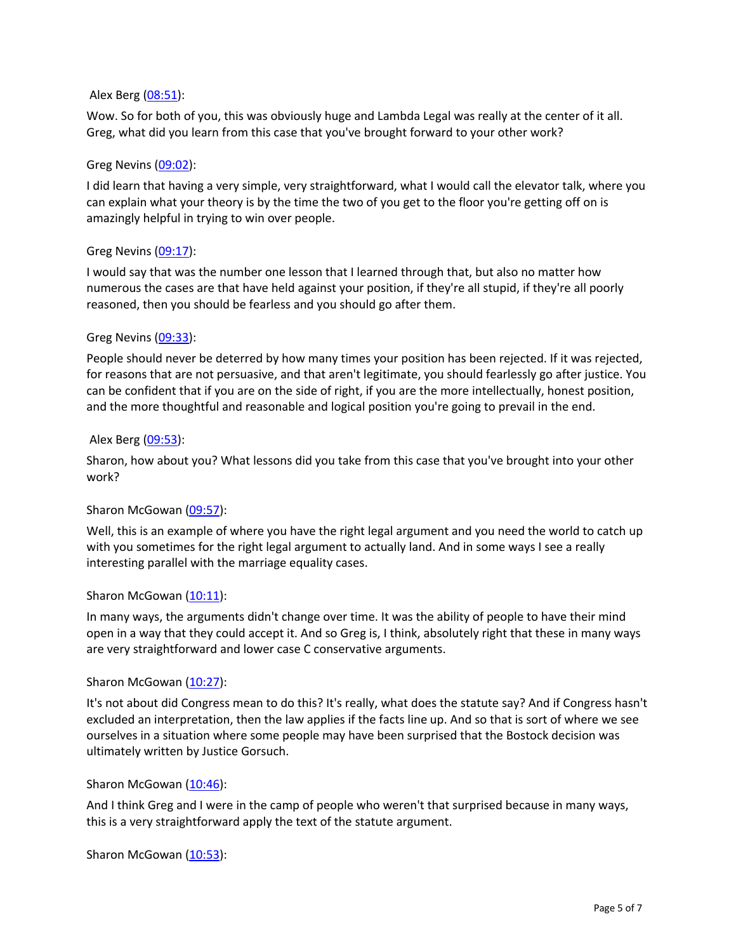### Alex Berg (08:51):

Wow. So for both of you, this was obviously huge and Lambda Legal was really at the center of it all. Greg, what did you learn from this case that you've brought forward to your other work?

## Greg Nevins (09:02):

I did learn that having a very simple, very straightforward, what I would call the elevator talk, where you can explain what your theory is by the time the two of you get to the floor you're getting off on is amazingly helpful in trying to win over people.

## Greg Nevins (09:17):

I would say that was the number one lesson that I learned through that, but also no matter how numerous the cases are that have held against your position, if they're all stupid, if they're all poorly reasoned, then you should be fearless and you should go after them.

## Greg Nevins (09:33):

People should never be deterred by how many times your position has been rejected. If it was rejected, for reasons that are not persuasive, and that aren't legitimate, you should fearlessly go after justice. You can be confident that if you are on the side of right, if you are the more intellectually, honest position, and the more thoughtful and reasonable and logical position you're going to prevail in the end.

## Alex Berg (09:53):

Sharon, how about you? What lessons did you take from this case that you've brought into your other work?

### Sharon McGowan (09:57):

Well, this is an example of where you have the right legal argument and you need the world to catch up with you sometimes for the right legal argument to actually land. And in some ways I see a really interesting parallel with the marriage equality cases.

### Sharon McGowan (10:11):

In many ways, the arguments didn't change over time. It was the ability of people to have their mind open in a way that they could accept it. And so Greg is, I think, absolutely right that these in many ways are very straightforward and lower case C conservative arguments.

### Sharon McGowan (10:27):

It's not about did Congress mean to do this? It's really, what does the statute say? And if Congress hasn't excluded an interpretation, then the law applies if the facts line up. And so that is sort of where we see ourselves in a situation where some people may have been surprised that the Bostock decision was ultimately written by Justice Gorsuch.

### Sharon McGowan (10:46):

And I think Greg and I were in the camp of people who weren't that surprised because in many ways, this is a very straightforward apply the text of the statute argument.

Sharon McGowan (10:53):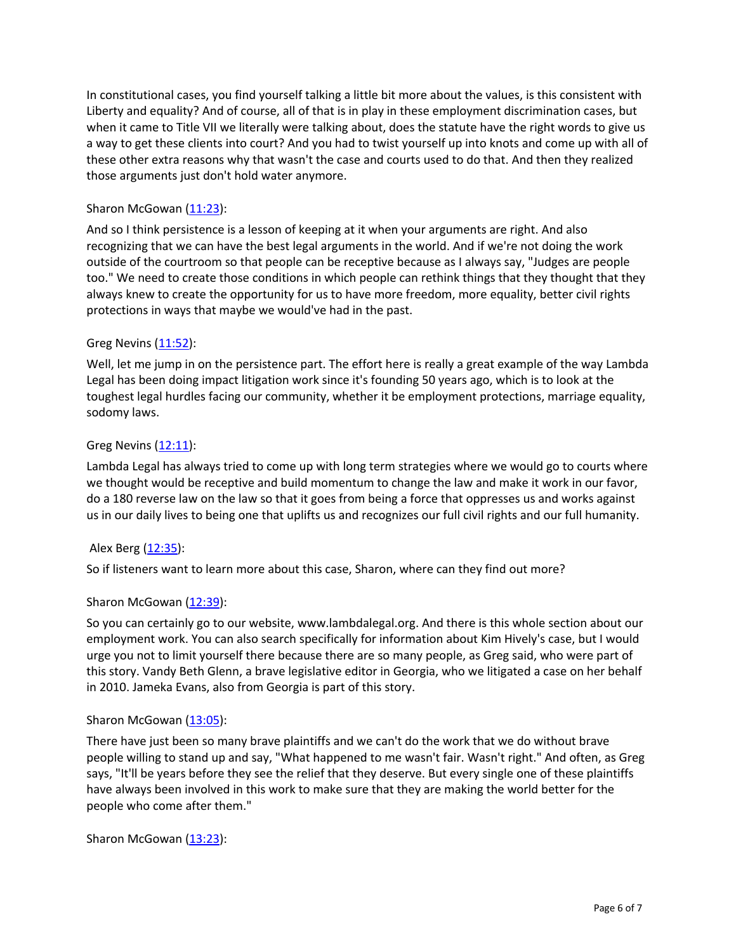In constitutional cases, you find yourself talking a little bit more about the values, is this consistent with Liberty and equality? And of course, all of that is in play in these employment discrimination cases, but when it came to Title VII we literally were talking about, does the statute have the right words to give us a way to get these clients into court? And you had to twist yourself up into knots and come up with all of these other extra reasons why that wasn't the case and courts used to do that. And then they realized those arguments just don't hold water anymore.

# Sharon McGowan (11:23):

And so I think persistence is a lesson of keeping at it when your arguments are right. And also recognizing that we can have the best legal arguments in the world. And if we're not doing the work outside of the courtroom so that people can be receptive because as I always say, "Judges are people too." We need to create those conditions in which people can rethink things that they thought that they always knew to create the opportunity for us to have more freedom, more equality, better civil rights protections in ways that maybe we would've had in the past.

## Greg Nevins (11:52):

Well, let me jump in on the persistence part. The effort here is really a great example of the way Lambda Legal has been doing impact litigation work since it's founding 50 years ago, which is to look at the toughest legal hurdles facing our community, whether it be employment protections, marriage equality, sodomy laws.

## Greg Nevins  $(12:11)$ :

Lambda Legal has always tried to come up with long term strategies where we would go to courts where we thought would be receptive and build momentum to change the law and make it work in our favor, do a 180 reverse law on the law so that it goes from being a force that oppresses us and works against us in our daily lives to being one that uplifts us and recognizes our full civil rights and our full humanity.

## Alex Berg (12:35):

So if listeners want to learn more about this case, Sharon, where can they find out more?

## Sharon McGowan (12:39):

So you can certainly go to our website, www.lambdalegal.org. And there is this whole section about our employment work. You can also search specifically for information about Kim Hively's case, but I would urge you not to limit yourself there because there are so many people, as Greg said, who were part of this story. Vandy Beth Glenn, a brave legislative editor in Georgia, who we litigated a case on her behalf in 2010. Jameka Evans, also from Georgia is part of this story.

## Sharon McGowan (13:05):

There have just been so many brave plaintiffs and we can't do the work that we do without brave people willing to stand up and say, "What happened to me wasn't fair. Wasn't right." And often, as Greg says, "It'll be years before they see the relief that they deserve. But every single one of these plaintiffs have always been involved in this work to make sure that they are making the world better for the people who come after them."

Sharon McGowan (13:23):